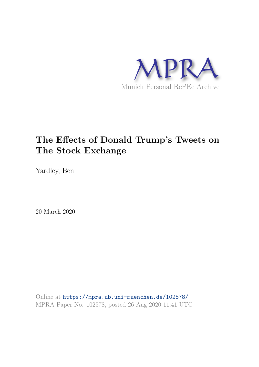

## **The Effects of Donald Trump's Tweets on The Stock Exchange**

Yardley, Ben

20 March 2020

Online at https://mpra.ub.uni-muenchen.de/102578/ MPRA Paper No. 102578, posted 26 Aug 2020 11:41 UTC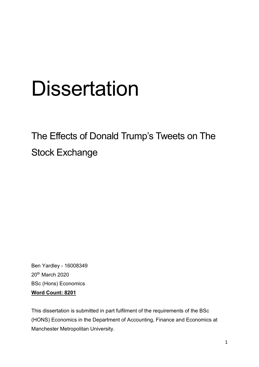# **Dissertation**

## The Effects of Donald Trump's Tweets on The Stock Exchange

Ben Yardley - 16008349 20th March 2020 BSc (Hons) Economics **Word Count: 8201** 

This dissertation is submitted in part fulfilment of the requirements of the BSc (HONS) Economics in the Department of Accounting, Finance and Economics at Manchester Metropolitan University.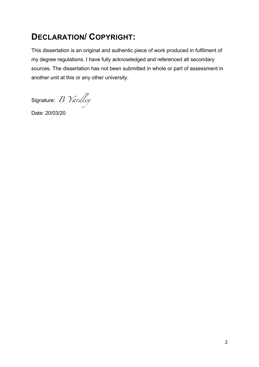## **DECLARATION/ COPYRIGHT:**

This dissertation is an original and authentic piece of work produced in fulfilment of my degree regulations. I have fully acknowledged and referenced all secondary sources. The dissertation has not been submitted in whole or part of assessment in another unit at this or any other university.

Signature: B Yardley

Date: 20/03/20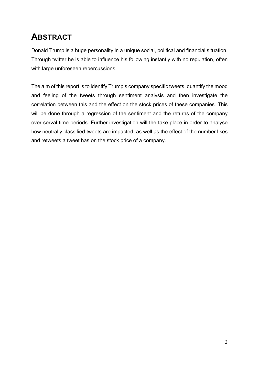## **ABSTRACT**

Donald Trump is a huge personality in a unique social, political and financial situation. Through twitter he is able to influence his following instantly with no regulation, often with large unforeseen repercussions.

The aim of this report is to identify Trump's company specific tweets, quantify the mood and feeling of the tweets through sentiment analysis and then investigate the correlation between this and the effect on the stock prices of these companies. This will be done through a regression of the sentiment and the returns of the company over serval time periods. Further investigation will the take place in order to analyse how neutrally classified tweets are impacted, as well as the effect of the number likes and retweets a tweet has on the stock price of a company.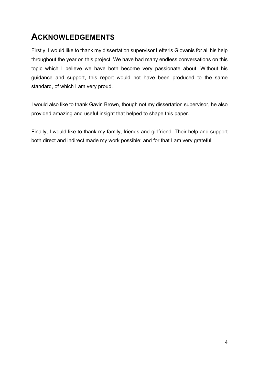## **ACKNOWLEDGEMENTS**

Firstly, I would like to thank my dissertation supervisor Lefteris Giovanis for all his help throughout the year on this project. We have had many endless conversations on this topic which I believe we have both become very passionate about. Without his guidance and support, this report would not have been produced to the same standard, of which I am very proud.

I would also like to thank Gavin Brown, though not my dissertation supervisor, he also provided amazing and useful insight that helped to shape this paper.

Finally, I would like to thank my family, friends and girlfriend. Their help and support both direct and indirect made my work possible; and for that I am very grateful.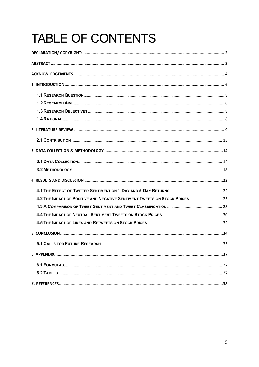## **TABLE OF CONTENTS**

| 4.2 THE IMPACT OF POSITIVE AND NEGATIVE SENTIMENT TWEETS ON STOCK PRICES 25 |
|-----------------------------------------------------------------------------|
|                                                                             |
|                                                                             |
|                                                                             |
|                                                                             |
| 35                                                                          |
|                                                                             |
|                                                                             |
|                                                                             |
|                                                                             |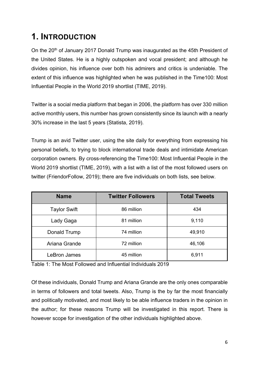## **1. INTRODUCTION**

On the 20<sup>th</sup> of January 2017 Donald Trump was inaugurated as the 45th President of the United States. He is a highly outspoken and vocal president; and although he divides opinion, his influence over both his admirers and critics is undeniable. The extent of this influence was highlighted when he was published in the Time100: Most Influential People in the World 2019 shortlist (TIME, 2019).

Twitter is a social media platform that began in 2006, the platform has over 330 million active monthly users, this number has grown consistently since its launch with a nearly 30% increase in the last 5 years (Statista, 2019).

Trump is an avid Twitter user, using the site daily for everything from expressing his personal beliefs, to trying to block international trade deals and intimidate American corporation owners. By cross-referencing the Time100: Most Influential People in the World 2019 shortlist (TIME, 2019), with a list with a list of the most followed users on twitter (FriendorFollow, 2019); there are five individuals on both lists, see below.

| <b>Name</b>         | <b>Twitter Followers</b> | <b>Total Tweets</b> |
|---------------------|--------------------------|---------------------|
| <b>Taylor Swift</b> | 86 million               | 434                 |
| Lady Gaga           | 81 million               | 9,110               |
| Donald Trump        | 74 million               | 49,910              |
| Ariana Grande       | 72 million               | 46,106              |
| LeBron James        | 45 million               | 6,911               |

Table 1: The Most Followed and Influential Individuals 2019

Of these individuals, Donald Trump and Ariana Grande are the only ones comparable in terms of followers and total tweets. Also, Trump is the by far the most financially and politically motivated, and most likely to be able influence traders in the opinion in the author; for these reasons Trump will be investigated in this report. There is however scope for investigation of the other individuals highlighted above.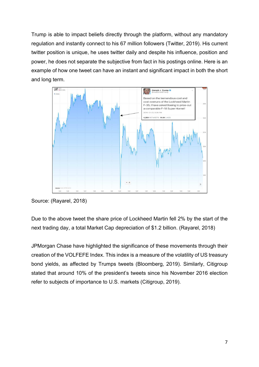Trump is able to impact beliefs directly through the platform, without any mandatory regulation and instantly connect to his 67 million followers (Twitter, 2019). His current twitter position is unique, he uses twitter daily and despite his influence, position and power, he does not separate the subjective from fact in his postings online. Here is an example of how one tweet can have an instant and significant impact in both the short and long term.



Source: (Rayarel, 2018)

Due to the above tweet the share price of Lockheed Martin fell 2% by the start of the next trading day, a total Market Cap depreciation of \$1.2 billion. (Rayarel, 2018)

JPMorgan Chase have highlighted the significance of these movements through their creation of the VOLFEFE Index. This index is a measure of the volatility of US treasury bond yields, as affected by Trumps tweets (Bloomberg, 2019). Similarly, Citigroup stated that around 10% of the president's tweets since his November 2016 election refer to subjects of importance to U.S. markets (Citigroup, 2019).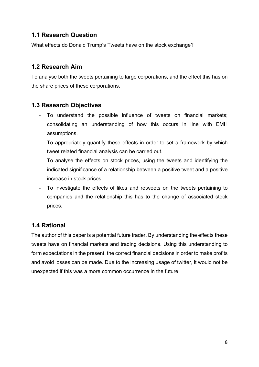#### **1.1 Research Question**

What effects do Donald Trump's Tweets have on the stock exchange?

#### **1.2 Research Aim**

To analyse both the tweets pertaining to large corporations, and the effect this has on the share prices of these corporations.

#### **1.3 Research Objectives**

- To understand the possible influence of tweets on financial markets; consolidating an understanding of how this occurs in line with EMH assumptions.
- To appropriately quantify these effects in order to set a framework by which tweet related financial analysis can be carried out.
- To analyse the effects on stock prices, using the tweets and identifying the indicated significance of a relationship between a positive tweet and a positive increase in stock prices.
- To investigate the effects of likes and retweets on the tweets pertaining to companies and the relationship this has to the change of associated stock prices.

#### **1.4 Rational**

The author of this paper is a potential future trader. By understanding the effects these tweets have on financial markets and trading decisions. Using this understanding to form expectations in the present, the correct financial decisions in order to make profits and avoid losses can be made. Due to the increasing usage of twitter, it would not be unexpected if this was a more common occurrence in the future.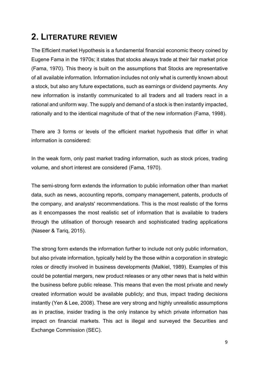## **2. LITERATURE REVIEW**

The Efficient market Hypothesis is a fundamental financial economic theory coined by Eugene Fama in the 1970s; it states that stocks always trade at their fair market price (Fama, 1970). This theory is built on the assumptions that Stocks are representative of all available information. Information includes not only what is currently known about a stock, but also any future expectations, such as earnings or dividend payments. Any new information is instantly communicated to all traders and all traders react in a rational and uniform way. The supply and demand of a stock is then instantly impacted, rationally and to the identical magnitude of that of the new information (Fama, 1998).

There are 3 forms or levels of the efficient market hypothesis that differ in what information is considered:

In the weak form, only past market trading information, such as stock prices, trading volume, and short interest are considered (Fama, 1970).

The semi-strong form extends the information to public information other than market data, such as news, accounting reports, company management, patents, products of the company, and analysts' recommendations. This is the most realistic of the forms as it encompasses the most realistic set of information that is available to traders through the utilisation of thorough research and sophisticated trading applications (Naseer & Tariq, 2015).

The strong form extends the information further to include not only public information, but also private information, typically held by the those within a corporation in strategic roles or directly involved in business developments (Malkiel, 1989). Examples of this could be potential mergers, new product releases or any other news that is held within the business before public release. This means that even the most private and newly created information would be available publicly; and thus, impact trading decisions instantly (Yen & Lee, 2008). These are very strong and highly unrealistic assumptions as in practise, insider trading is the only instance by which private information has impact on financial markets. This act is illegal and surveyed the Securities and Exchange Commission (SEC).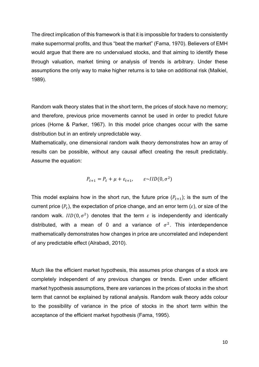The direct implication of this framework is that it is impossible for traders to consistently make supernormal profits, and thus "beat the market" (Fama, 1970). Believers of EMH would argue that there are no undervalued stocks, and that aiming to identify these through valuation, market timing or analysis of trends is arbitrary. Under these assumptions the only way to make higher returns is to take on additional risk (Malkiel, 1989).

Random walk theory states that in the short term, the prices of stock have no memory; and therefore, previous price movements cannot be used in order to predict future prices (Horne & Parker, 1967). In this model price changes occur with the same distribution but in an entirely unpredictable way.

Mathematically, one dimensional random walk theory demonstrates how an array of results can be possible, without any causal affect creating the result predictably. Assume the equation:

$$
P_{t+1} = P_t + \mu + \varepsilon_{t+1}, \qquad \varepsilon \sim \text{IID}(0, \sigma^2)
$$

This model explains how in the short run, the future price  $(P_{t+1})$ ; is the sum of the current price ( $P_t$ ), the expectation of price change, and an error term ( $\varepsilon$ ), or size of the random walk.  $IID(0, \sigma^2)$  denotes that the term  $\varepsilon$  is independently and identically distributed, with a mean of 0 and a variance of  $\sigma^2$ . This interdependence mathematically demonstrates how changes in price are uncorrelated and independent of any predictable effect (Alrabadi, 2010).

Much like the efficient market hypothesis, this assumes price changes of a stock are completely independent of any previous changes or trends. Even under efficient market hypothesis assumptions, there are variances in the prices of stocks in the short term that cannot be explained by rational analysis. Random walk theory adds colour to the possibility of variance in the price of stocks in the short term within the acceptance of the efficient market hypothesis (Fama, 1995).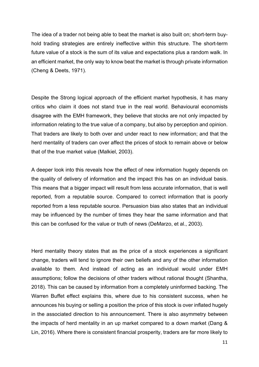The idea of a trader not being able to beat the market is also built on; short-term buyhold trading strategies are entirely ineffective within this structure. The short-term future value of a stock is the sum of its value and expectations plus a random walk. In an efficient market, the only way to know beat the market is through private information (Cheng & Deets, 1971).

Despite the Strong logical approach of the efficient market hypothesis, it has many critics who claim it does not stand true in the real world. Behavioural economists disagree with the EMH framework, they believe that stocks are not only impacted by information relating to the true value of a company, but also by perception and opinion. That traders are likely to both over and under react to new information; and that the herd mentality of traders can over affect the prices of stock to remain above or below that of the true market value (Malkiel, 2003).

A deeper look into this reveals how the effect of new information hugely depends on the quality of delivery of information and the impact this has on an individual basis. This means that a bigger impact will result from less accurate information, that is well reported, from a reputable source. Compared to correct information that is poorly reported from a less reputable source. Persuasion bias also states that an individual may be influenced by the number of times they hear the same information and that this can be confused for the value or truth of news (DeMarzo, et al., 2003).

Herd mentality theory states that as the price of a stock experiences a significant change, traders will tend to ignore their own beliefs and any of the other information available to them. And instead of acting as an individual would under EMH assumptions; follow the decisions of other traders without rational thought (Shantha, 2018). This can be caused by information from a completely uninformed backing. The Warren Buffet effect explains this, where due to his consistent success, when he announces his buying or selling a position the price of this stock is over inflated hugely in the associated direction to his announcement. There is also asymmetry between the impacts of herd mentality in an up market compared to a down market (Dang & Lin, 2016). Where there is consistent financial prosperity, traders are far more likely to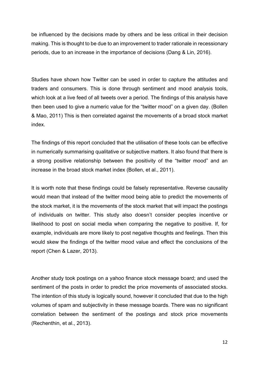be influenced by the decisions made by others and be less critical in their decision making. This is thought to be due to an improvement to trader rationale in recessionary periods, due to an increase in the importance of decisions (Dang & Lin, 2016).

Studies have shown how Twitter can be used in order to capture the attitudes and traders and consumers. This is done through sentiment and mood analysis tools, which look at a live feed of all tweets over a period. The findings of this analysis have then been used to give a numeric value for the "twitter mood" on a given day. (Bollen & Mao, 2011) This is then correlated against the movements of a broad stock market index.

The findings of this report concluded that the utilisation of these tools can be effective in numerically summarising qualitative or subjective matters. It also found that there is a strong positive relationship between the positivity of the "twitter mood" and an increase in the broad stock market index (Bollen, et al., 2011).

It is worth note that these findings could be falsely representative. Reverse causality would mean that instead of the twitter mood being able to predict the movements of the stock market, it is the movements of the stock market that will impact the postings of individuals on twitter. This study also doesn't consider peoples incentive or likelihood to post on social media when comparing the negative to positive. If, for example, individuals are more likely to post negative thoughts and feelings. Then this would skew the findings of the twitter mood value and effect the conclusions of the report (Chen & Lazer, 2013).

Another study took postings on a yahoo finance stock message board; and used the sentiment of the posts in order to predict the price movements of associated stocks. The intention of this study is logically sound, however it concluded that due to the high volumes of spam and subjectivity in these message boards. There was no significant correlation between the sentiment of the postings and stock price movements (Rechenthin, et al., 2013).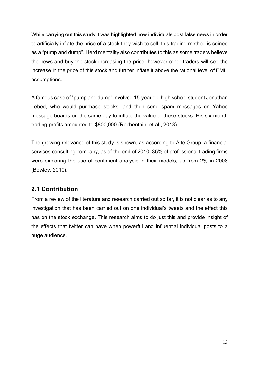While carrying out this study it was highlighted how individuals post false news in order to artificially inflate the price of a stock they wish to sell, this trading method is coined as a "pump and dump". Herd mentality also contributes to this as some traders believe the news and buy the stock increasing the price, however other traders will see the increase in the price of this stock and further inflate it above the rational level of EMH assumptions.

A famous case of "pump and dump" involved 15-year old high school student Jonathan Lebed, who would purchase stocks, and then send spam messages on Yahoo message boards on the same day to inflate the value of these stocks. His six-month trading profits amounted to \$800,000 (Rechenthin, et al., 2013).

The growing relevance of this study is shown, as according to Aite Group, a financial services consulting company, as of the end of 2010, 35% of professional trading firms were exploring the use of sentiment analysis in their models, up from 2% in 2008 (Bowley, 2010).

#### **2.1 Contribution**

From a review of the literature and research carried out so far, it is not clear as to any investigation that has been carried out on one individual's tweets and the effect this has on the stock exchange. This research aims to do just this and provide insight of the effects that twitter can have when powerful and influential individual posts to a huge audience.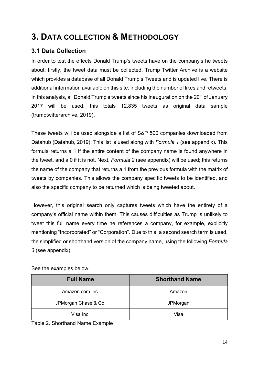## **3. DATA COLLECTION & METHODOLOGY**

#### **3.1 Data Collection**

In order to test the effects Donald Trump's tweets have on the company's he tweets about; firstly, the tweet data must be collected. Trump Twitter Archive is a website which provides a database of all Donald Trump's Tweets and is updated live. There is additional information available on this site, including the number of likes and retweets. In this analysis, all Donald Trump's tweets since his inauguration on the  $20<sup>th</sup>$  of January 2017 will be used, this totals 12,835 tweets as original data sample (trumptwitterarchive, 2019).

These tweets will be used alongside a list of S&P 500 companies downloaded from Datahub (Datahub, 2019). This list is used along with *Formula 1* (see appendix). This formula returns a 1 if the entire content of the company name is found anywhere in the tweet, and a 0 if it is not. Next, *Formula 2* (see appendix) will be used; this returns the name of the company that returns a 1 from the previous formula with the matrix of tweets by companies. This allows the company specific tweets to be identified, and also the specific company to be returned which is being tweeted about.

However, this original search only captures tweets which have the entirety of a company's official name within them. This causes difficulties as Trump is unlikely to tweet this full name every time he references a company, for example, explicitly mentioning "Incorporated" or "Corporation". Due to this, a second search term is used, the simplified or shorthand version of the company name, using the following *Formula 3* (see appendix).

| <b>Full Name</b>     | <b>Shorthand Name</b> |
|----------------------|-----------------------|
| Amazon.com Inc.      | Amazon                |
| JPMorgan Chase & Co. | JPMorgan              |
| Visa Inc.            | Visa                  |

See the examples below:

Table 2. Shorthand Name Example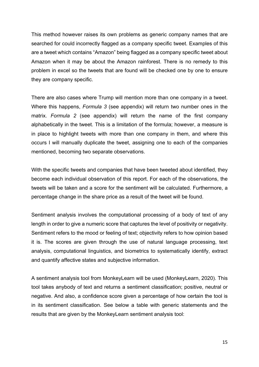This method however raises its own problems as generic company names that are searched for could incorrectly flagged as a company specific tweet. Examples of this are a tweet which contains "Amazon" being flagged as a company specific tweet about Amazon when it may be about the Amazon rainforest. There is no remedy to this problem in excel so the tweets that are found will be checked one by one to ensure they are company specific.

There are also cases where Trump will mention more than one company in a tweet. Where this happens, *Formula 3* (see appendix) will return two number ones in the matrix. *Formula 2* (see appendix) will return the name of the first company alphabetically in the tweet. This is a limitation of the formula; however, a measure is in place to highlight tweets with more than one company in them, and where this occurs I will manually duplicate the tweet, assigning one to each of the companies mentioned, becoming two separate observations.

With the specific tweets and companies that have been tweeted about identified, they become each individual observation of this report. For each of the observations, the tweets will be taken and a score for the sentiment will be calculated. Furthermore, a percentage change in the share price as a result of the tweet will be found.

Sentiment analysis involves the computational processing of a body of text of any length in order to give a numeric score that captures the level of positivity or negativity. Sentiment refers to the mood or feeling of text; objectivity refers to how opinion based it is. The scores are given through the use of natural language processing, text analysis, computational linguistics, and biometrics to systematically identify, extract and quantify affective states and subjective information.

A sentiment analysis tool from MonkeyLearn will be used (MonkeyLearn, 2020). This tool takes anybody of text and returns a sentiment classification; positive, neutral or negative. And also, a confidence score given a percentage of how certain the tool is in its sentiment classification. See below a table with generic statements and the results that are given by the MonkeyLearn sentiment analysis tool: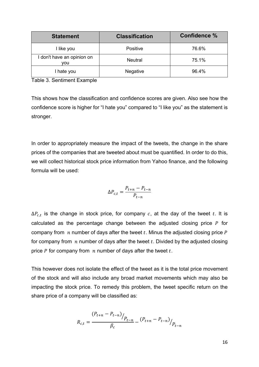| <b>Statement</b>                  | <b>Classification</b> | Confidence % |
|-----------------------------------|-----------------------|--------------|
| I like you                        | Positive              | 76.6%        |
| I don't have an opinion on<br>vou | <b>Neutral</b>        | 75.1%        |
| I hate you                        | Negative              | 96.4%        |

Table 3. Sentiment Example

This shows how the classification and confidence scores are given. Also see how the confidence score is higher for "I hate you" compared to "I like you" as the statement is stronger.

In order to appropriately measure the impact of the tweets, the change in the share prices of the companies that are tweeted about must be quantified. In order to do this, we will collect historical stock price information from Yahoo finance, and the following formula will be used:

$$
\Delta P_{c,t} = \frac{P_{t+n} - P_{t-n}}{P_{t-n}}
$$

 $\Delta P_{c,t}$  is the change in stock price, for company  $c$ , at the day of the tweet  $t$ . It is calculated as the percentage change between the adjusted closing price  $P$  for company from  $n$  number of days after the tweet  $t$ . Minus the adjusted closing price  $P$ for company from  $n$  number of days after the tweet  $t$ . Divided by the adjusted closing price  $P$  for company from  $n$  number of days after the tweet  $t$ .

This however does not isolate the effect of the tweet as it is the total price movement of the stock and will also include any broad market movements which may also be impacting the stock price. To remedy this problem, the tweet specific return on the share price of a company will be classified as:

$$
R_{c,t} = \frac{(P_{t+n} - P_{t-n})}{\beta_c} \left. - \frac{(P_{t+n} - P_{t-n})}{P_{t-n}} \right|_{P_{t-n}}
$$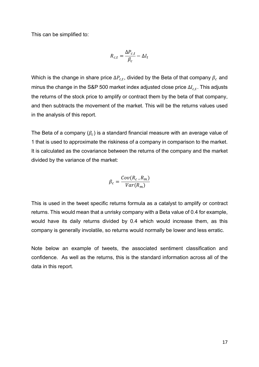This can be simplified to:

$$
R_{c,t} = \frac{\Delta P_{c,t}}{\beta_c} - \Delta I_t
$$

Which is the change in share price  $\Delta P_{c,t},$  divided by the Beta of that company  $\beta_c$  and minus the change in the S&P 500 market index adjusted close price  $\Delta I_{c,t}.$  This adjusts the returns of the stock price to amplify or contract them by the beta of that company, and then subtracts the movement of the market. This will be the returns values used in the analysis of this report.

The Beta of a company  $(\beta_c)$  is a standard financial measure with an average value of 1 that is used to approximate the riskiness of a company in comparison to the market. It is calculated as the covariance between the returns of the company and the market divided by the variance of the market:

$$
\beta_c = \frac{Cov(R_c, R_m)}{Var(R_m)}
$$

This is used in the tweet specific returns formula as a catalyst to amplify or contract returns. This would mean that a unrisky company with a Beta value of 0.4 for example, would have its daily returns divided by 0.4 which would increase them, as this company is generally involatile, so returns would normally be lower and less erratic.

Note below an example of tweets, the associated sentiment classification and confidence. As well as the returns, this is the standard information across all of the data in this report.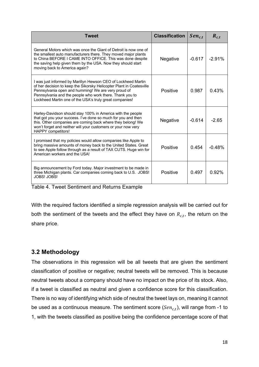| <b>Tweet</b>                                                                                                                                                                                                                                                                                                        | <b>Classification</b> | $Sen_{c,t}$ | $R_{c,t}$ |
|---------------------------------------------------------------------------------------------------------------------------------------------------------------------------------------------------------------------------------------------------------------------------------------------------------------------|-----------------------|-------------|-----------|
| General Motors which was once the Giant of Detroit is now one of<br>the smallest auto manufacturers there. They moved major plants<br>to China BEFORE I CAME INTO OFFICE. This was done despite<br>the saving help given them by the USA. Now they should start<br>moving back to America again?                    | Negative              | $-0.617$    | $-2.91%$  |
| I was just informed by Marillyn Hewson CEO of Lockheed Martin<br>of her decision to keep the Sikorsky Helicopter Plant in Coatesville<br>Pennsylvania open and humming! We are very proud of<br>Pennsylvania and the people who work there. Thank you to<br>Lockheed Martin one of the USA's truly great companies! | Positive              | 0.987       | 0.43%     |
| Harley-Davidson should stay 100% in America with the people<br>that got you your success. I've done so much for you and then<br>this. Other companies are coming back where they belong! We<br>won't forget and neither will your customers or your now very<br><b>HAPPY</b> competitors!                           | Negative              | $-0.614$    | $-265$    |
| I promised that my policies would allow companies like Apple to<br>bring massive amounts of money back to the United States. Great<br>to see Apple follow through as a result of TAX CUTS. Huge win for<br>American workers and the USA!                                                                            | Positive              | 0.454       | $-0.48%$  |
| Big announcement by Ford today. Major investment to be made in<br>three Michigan plants. Car companies coming back to U.S. JOBS!<br><b>JOBS! JOBS!</b>                                                                                                                                                              | Positive              | 0.497       | 0.92%     |

Table 4. Tweet Sentiment and Returns Example

With the required factors identified a simple regression analysis will be carried out for both the sentiment of the tweets and the effect they have on  $R_{c,t}$ , the return on the share price.

#### **3.2 Methodology**

The observations in this regression will be all tweets that are given the sentiment classification of positive or negative; neutral tweets will be removed. This is because neutral tweets about a company should have no impact on the price of its stock. Also, if a tweet is classified as neutral and given a confidence score for this classification. There is no way of identifying which side of neutral the tweet lays on, meaning it cannot be used as a continuous measure. The sentiment score ( $Sen_{c,t})$ , will range from -1 to 1, with the tweets classified as positive being the confidence percentage score of that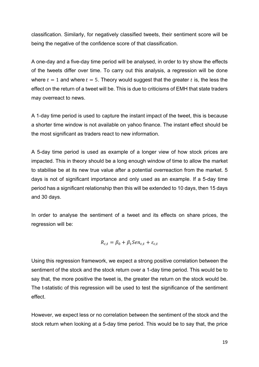classification. Similarly, for negatively classified tweets, their sentiment score will be being the negative of the confidence score of that classification.

A one-day and a five-day time period will be analysed, in order to try show the effects of the tweets differ over time. To carry out this analysis, a regression will be done where  $t = 1$  and where  $t = 5$ . Theory would suggest that the greater t is, the less the effect on the return of a tweet will be. This is due to criticisms of EMH that state traders may overreact to news.

A 1-day time period is used to capture the instant impact of the tweet, this is because a shorter time window is not available on yahoo finance. The instant effect should be the most significant as traders react to new information.

A 5-day time period is used as example of a longer view of how stock prices are impacted. This in theory should be a long enough window of time to allow the market to stabilise be at its new true value after a potential overreaction from the market. 5 days is not of significant importance and only used as an example. If a 5-day time period has a significant relationship then this will be extended to 10 days, then 15 days and 30 days.

In order to analyse the sentiment of a tweet and its effects on share prices, the regression will be:

$$
R_{c,t} = \beta_0 + \beta_1 Sen_{c,t} + \varepsilon_{c,t}
$$

Using this regression framework, we expect a strong positive correlation between the sentiment of the stock and the stock return over a 1-day time period. This would be to say that, the more positive the tweet is, the greater the return on the stock would be. The t-statistic of this regression will be used to test the significance of the sentiment effect.

However, we expect less or no correlation between the sentiment of the stock and the stock return when looking at a 5-day time period. This would be to say that, the price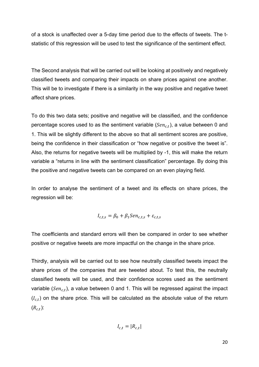of a stock is unaffected over a 5-day time period due to the effects of tweets. The tstatistic of this regression will be used to test the significance of the sentiment effect.

The Second analysis that will be carried out will be looking at positively and negatively classified tweets and comparing their impacts on share prices against one another. This will be to investigate if there is a similarity in the way positive and negative tweet affect share prices.

To do this two data sets; positive and negative will be classified, and the confidence percentage scores used to as the sentiment variable ( $Sen_{c,t}$ ), a value between 0 and 1. This will be slightly different to the above so that all sentiment scores are positive, being the confidence in their classification or "how negative or positive the tweet is". Also, the returns for negative tweets will be multiplied by -1, this will make the return variable a "returns in line with the sentiment classification" percentage. By doing this the positive and negative tweets can be compared on an even playing field.

In order to analyse the sentiment of a tweet and its effects on share prices, the regression will be:

$$
I_{c,t,s} = \beta_0 + \beta_1 Sen_{c,t,s} + \varepsilon_{c,t,s}
$$

The coefficients and standard errors will then be compared in order to see whether positive or negative tweets are more impactful on the change in the share price.

Thirdly, analysis will be carried out to see how neutrally classified tweets impact the share prices of the companies that are tweeted about. To test this, the neutrally classified tweets will be used, and their confidence scores used as the sentiment variable ( $Sen_{c,t}$ ), a value between 0 and 1. This will be regressed against the impact  $(I_{c,t})$  on the share price. This will be calculated as the absolute value of the return  $(R_{c,t})$ :

$$
I_{c,t} = |R_{c,t}|
$$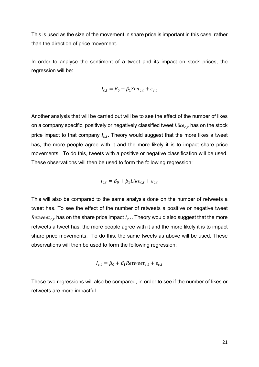This is used as the size of the movement in share price is important in this case, rather than the direction of price movement.

In order to analyse the sentiment of a tweet and its impact on stock prices, the regression will be:

$$
I_{c,t} = \beta_0 + \beta_1 Sen_{c,t} + \varepsilon_{c,t}
$$

Another analysis that will be carried out will be to see the effect of the number of likes on a company specific, positively or negatively classified tweet  $\mathit{Like}_{c,t}$  has on the stock price impact to that company  $I_{c,t}$ . Theory would suggest that the more likes a tweet has, the more people agree with it and the more likely it is to impact share price movements. To do this, tweets with a positive or negative classification will be used. These observations will then be used to form the following regression:

$$
I_{c,t} = \beta_0 + \beta_1 Like_{c,t} + \varepsilon_{c,t}
$$

This will also be compared to the same analysis done on the number of retweets a tweet has. To see the effect of the number of retweets a positive or negative tweet  $\mathit{Retweet}_{c,t}$  has on the share price impact  $\mathit{I}_{c,t}.$  Theory would also suggest that the more retweets a tweet has, the more people agree with it and the more likely it is to impact share price movements. To do this, the same tweets as above will be used. These observations will then be used to form the following regression:

$$
I_{c,t} = \beta_0 + \beta_1^{\text{Network}} \epsilon_{c,t} + \epsilon_{c,t}
$$

These two regressions will also be compared, in order to see if the number of likes or retweets are more impactful.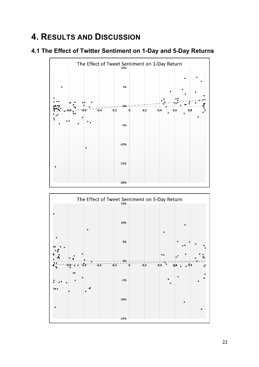## **4. RESULTS AND DISCUSSION**

#### **4.1 The Effect of Twitter Sentiment on 1-Day and 5-Day Returns**



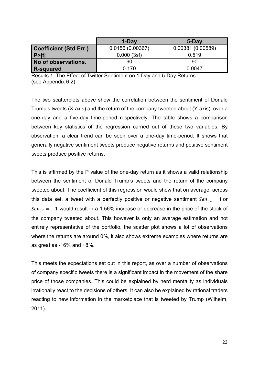|                               | 1-Day           | 5-Day            |
|-------------------------------|-----------------|------------------|
| <b>Coefficient (Std Err.)</b> | 0.0156(0.00367) | 0.00381(0.00589) |
| $ P>$  t                      | 0.000(3sf)      | 0.519            |
| No of observations.           | 90              | 90               |
| <b>R-squared</b>              | 0.170           | 0.0047           |

Results 1: The Effect of Twitter Sentiment on 1-Day and 5-Day Returns (see Appendix 6.2)

The two scatterplots above show the correlation between the sentiment of Donald Trump's tweets (X-axis) and the return of the company tweeted about (Y-axis), over a one-day and a five-day time-period respectively. The table shows a comparison between key statistics of the regression carried out of these two variables. By observation, a clear trend can be seen over a one-day time-period. It shows that generally negative sentiment tweets produce negative returns and positive sentiment tweets produce positive returns.

This is affirmed by the P value of the one-day return as it shows a valid relationship between the sentiment of Donald Trump's tweets and the return of the company tweeted about. The coefficient of this regression would show that on average, across this data set, a tweet with a perfectly positive or negative sentiment  $Sen<sub>ct</sub> = 1$  or  $Sen_{c,t} = -1$  would result in a 1.56% increase or decrease in the price of the stock of the company tweeted about. This however is only an average estimation and not entirely representative of the portfolio, the scatter plot shows a lot of observations where the returns are around 0%, it also shows extreme examples where returns are as great as -16% and +8%.

This meets the expectations set out in this report, as over a number of observations of company specific tweets there is a significant impact in the movement of the share price of those companies. This could be explained by herd mentality as individuals irrationally react to the decisions of others. It can also be explained by rational traders reacting to new information in the marketplace that is tweeted by Trump (Wilhelm, 2011).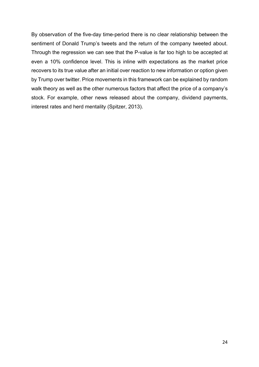By observation of the five-day time-period there is no clear relationship between the sentiment of Donald Trump's tweets and the return of the company tweeted about. Through the regression we can see that the P-value is far too high to be accepted at even a 10% confidence level. This is inline with expectations as the market price recovers to its true value after an initial over reaction to new information or option given by Trump over twitter. Price movements in this framework can be explained by random walk theory as well as the other numerous factors that affect the price of a company's stock. For example, other news released about the company, dividend payments, interest rates and herd mentality (Spitzer, 2013).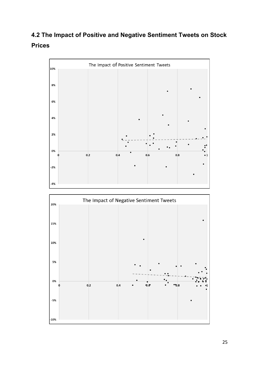### **4.2 The Impact of Positive and Negative Sentiment Tweets on Stock Prices**



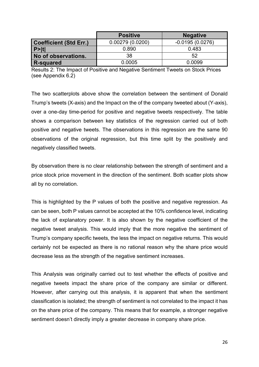|                               | <b>Positive</b> | <b>Negative</b>   |
|-------------------------------|-----------------|-------------------|
| <b>Coefficient (Std Err.)</b> | 0.00279(0.0200) | $-0.0195(0.0276)$ |
| P >  t                        | 0.890           | 0.483             |
| No of observations.           | 38              | 52                |
| <b>R-squared</b>              | 0.0005          | 0.0099            |

Results 2: The Impact of Positive and Negative Sentiment Tweets on Stock Prices (see Appendix 6.2)

The two scatterplots above show the correlation between the sentiment of Donald Trump's tweets (X-axis) and the Impact on the of the company tweeted about (Y-axis), over a one-day time-period for positive and negative tweets respectively. The table shows a comparison between key statistics of the regression carried out of both positive and negative tweets. The observations in this regression are the same 90 observations of the original regression, but this time split by the positively and negatively classified tweets.

By observation there is no clear relationship between the strength of sentiment and a price stock price movement in the direction of the sentiment. Both scatter plots show all by no correlation.

This is highlighted by the P values of both the positive and negative regression. As can be seen, both P values cannot be accepted at the 10% confidence level, indicating the lack of explanatory power. It is also shown by the negative coefficient of the negative tweet analysis. This would imply that the more negative the sentiment of Trump's company specific tweets, the less the impact on negative returns. This would certainly not be expected as there is no rational reason why the share price would decrease less as the strength of the negative sentiment increases.

This Analysis was originally carried out to test whether the effects of positive and negative tweets impact the share price of the company are similar or different. However, after carrying out this analysis, it is apparent that when the sentiment classification is isolated; the strength of sentiment is not correlated to the impact it has on the share price of the company. This means that for example, a stronger negative sentiment doesn't directly imply a greater decrease in company share price.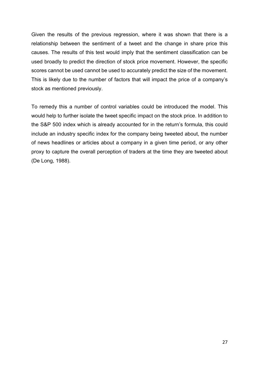Given the results of the previous regression, where it was shown that there is a relationship between the sentiment of a tweet and the change in share price this causes. The results of this test would imply that the sentiment classification can be used broadly to predict the direction of stock price movement. However, the specific scores cannot be used cannot be used to accurately predict the size of the movement. This is likely due to the number of factors that will impact the price of a company's stock as mentioned previously.

To remedy this a number of control variables could be introduced the model. This would help to further isolate the tweet specific impact on the stock price. In addition to the S&P 500 index which is already accounted for in the return's formula, this could include an industry specific index for the company being tweeted about, the number of news headlines or articles about a company in a given time period, or any other proxy to capture the overall perception of traders at the time they are tweeted about (De Long, 1988).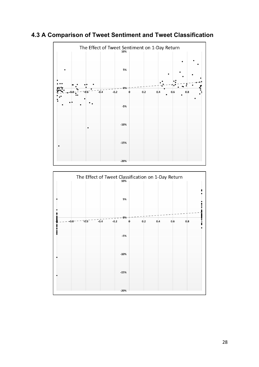



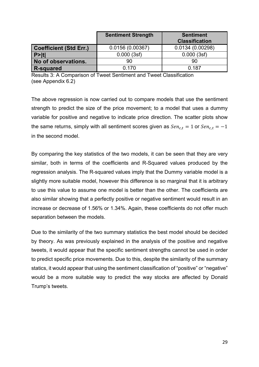|                               | <b>Sentiment Strength</b> | <b>Sentiment</b><br><b>Classification</b> |
|-------------------------------|---------------------------|-------------------------------------------|
| <b>Coefficient (Std Err.)</b> | 0.0156(0.00367)           | 0.0134(0.00298)                           |
| P >  t                        | 0.000(3sf)                | 0.000(3sf)                                |
| No of observations.           | 90                        | 90                                        |
| <b>R-squared</b>              | 0.170                     | 0.187                                     |

Results 3: A Comparison of Tweet Sentiment and Tweet Classification (see Appendix 6.2)

The above regression is now carried out to compare models that use the sentiment strength to predict the size of the price movement; to a model that uses a dummy variable for positive and negative to indicate price direction. The scatter plots show the same returns, simply with all sentiment scores given as  $Sen_{c,t} = 1$  or  $Sen_{c,t} = -1$ in the second model.

By comparing the key statistics of the two models, it can be seen that they are very similar, both in terms of the coefficients and R-Squared values produced by the regression analysis. The R-squared values imply that the Dummy variable model is a slightly more suitable model, however this difference is so marginal that it is arbitrary to use this value to assume one model is better than the other. The coefficients are also similar showing that a perfectly positive or negative sentiment would result in an increase or decrease of 1.56% or 1.34%. Again, these coefficients do not offer much separation between the models.

Due to the similarity of the two summary statistics the best model should be decided by theory. As was previously explained in the analysis of the positive and negative tweets, it would appear that the specific sentiment strengths cannot be used in order to predict specific price movements. Due to this, despite the similarity of the summary statics, it would appear that using the sentiment classification of "positive" or "negative" would be a more suitable way to predict the way stocks are affected by Donald Trump's tweets.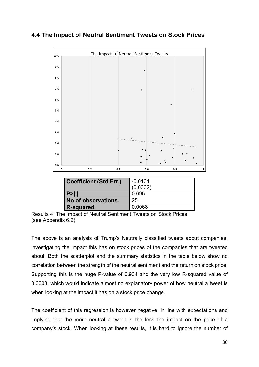#### **4.4 The Impact of Neutral Sentiment Tweets on Stock Prices**



|                    | Results 4: The Impact of Neutral Sentiment Tweets on Stock Prices |  |
|--------------------|-------------------------------------------------------------------|--|
| (see Appendix 6.2) |                                                                   |  |

**R-squared** 0.0068

The above is an analysis of Trump's Neutrally classified tweets about companies, investigating the impact this has on stock prices of the companies that are tweeted about. Both the scatterplot and the summary statistics in the table below show no correlation between the strength of the neutral sentiment and the return on stock price. Supporting this is the huge P-value of 0.934 and the very low R-squared value of 0.0003, which would indicate almost no explanatory power of how neutral a tweet is when looking at the impact it has on a stock price change.

The coefficient of this regression is however negative, in line with expectations and implying that the more neutral a tweet is the less the impact on the price of a company's stock. When looking at these results, it is hard to ignore the number of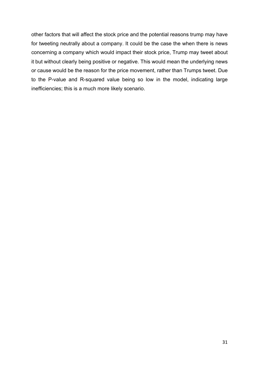other factors that will affect the stock price and the potential reasons trump may have for tweeting neutrally about a company. It could be the case the when there is news concerning a company which would impact their stock price, Trump may tweet about it but without clearly being positive or negative. This would mean the underlying news or cause would be the reason for the price movement, rather than Trumps tweet. Due to the P-value and R-squared value being so low in the model, indicating large inefficiencies; this is a much more likely scenario.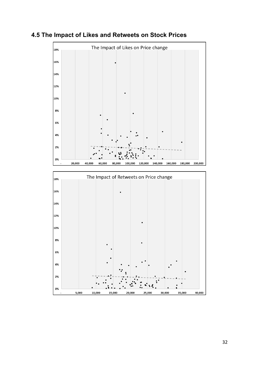

#### **4.5 The Impact of Likes and Retweets on Stock Prices**

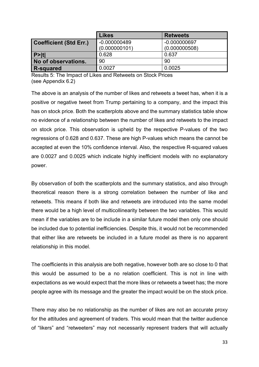|                               | <b>Likes</b>   | <b>Retweets</b> |
|-------------------------------|----------------|-----------------|
| <b>Coefficient (Std Err.)</b> | $-0.000000489$ | $-0.000000697$  |
|                               | (0.000000101)  | (0.000000508)   |
| P>  t                         | 0.628          | 0.637           |
| No of observations.           | 90             | 90              |
| <b>R-squared</b>              | 0.0027         | 0.0025          |

Results 5: The Impact of Likes and Retweets on Stock Prices (see Appendix 6.2)

The above is an analysis of the number of likes and retweets a tweet has, when it is a positive or negative tweet from Trump pertaining to a company, and the impact this has on stock price. Both the scatterplots above and the summary statistics table show no evidence of a relationship between the number of likes and retweets to the impact on stock price. This observation is upheld by the respective P-values of the two regressions of 0.628 and 0.637. These are high P-values which means the cannot be accepted at even the 10% confidence interval. Also, the respective R-squared values are 0.0027 and 0.0025 which indicate highly inefficient models with no explanatory power.

By observation of both the scatterplots and the summary statistics, and also through theoretical reason there is a strong correlation between the number of like and retweets. This means if both like and retweets are introduced into the same model there would be a high level of multicollinearity between the two variables. This would mean if the variables are to be include in a similar future model then only one should be included due to potential inefficiencies. Despite this, it would not be recommended that either like are retweets be included in a future model as there is no apparent relationship in this model.

The coefficients in this analysis are both negative, however both are so close to 0 that this would be assumed to be a no relation coefficient. This is not in line with expectations as we would expect that the more likes or retweets a tweet has; the more people agree with its message and the greater the impact would be on the stock price.

There may also be no relationship as the number of likes are not an accurate proxy for the attitudes and agreement of traders. This would mean that the twitter audience of "likers" and "retweeters" may not necessarily represent traders that will actually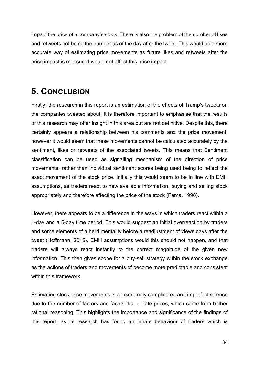impact the price of a company's stock. There is also the problem of the number of likes and retweets not being the number as of the day after the tweet. This would be a more accurate way of estimating price movements as future likes and retweets after the price impact is measured would not affect this price impact.

### **5. CONCLUSION**

Firstly, the research in this report is an estimation of the effects of Trump's tweets on the companies tweeted about. It is therefore important to emphasise that the results of this research may offer insight in this area but are not definitive. Despite this, there certainly appears a relationship between his comments and the price movement, however it would seem that these movements cannot be calculated accurately by the sentiment, likes or retweets of the associated tweets. This means that Sentiment classification can be used as signalling mechanism of the direction of price movements, rather than individual sentiment scores being used being to reflect the exact movement of the stock price. Initially this would seem to be in line with EMH assumptions, as traders react to new available information, buying and selling stock appropriately and therefore affecting the price of the stock (Fama, 1998).

However, there appears to be a difference in the ways in which traders react within a 1-day and a 5-day time period. This would suggest an initial overreaction by traders and some elements of a herd mentality before a readjustment of views days after the tweet (Hoffmann, 2015). EMH assumptions would this should not happen, and that traders will always react instantly to the correct magnitude of the given new information. This then gives scope for a buy-sell strategy within the stock exchange as the actions of traders and movements of become more predictable and consistent within this framework.

Estimating stock price movements is an extremely complicated and imperfect science due to the number of factors and facets that dictate prices, which come from bother rational reasoning. This highlights the importance and significance of the findings of this report, as its research has found an innate behaviour of traders which is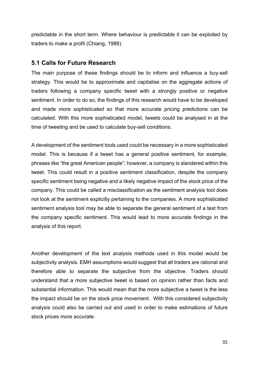predictable in the short term. Where behaviour is predictable it can be exploited by traders to make a profit (Chiang, 1988).

#### **5.1 Calls for Future Research**

The main purpose of these findings should be to inform and influence a buy-sell strategy. This would be to approximate and capitalise on the aggregate actions of traders following a company specific tweet with a strongly positive or negative sentiment. In order to do so, the findings of this research would have to be developed and made more sophisticated so that more accurate pricing predictions can be calculated. With this more sophisticated model, tweets could be analysed in at the time of tweeting and be used to calculate buy-sell conditions.

A development of the sentiment tools used could be necessary in a more sophisticated model. This is because if a tweet has a general positive sentiment, for example, phrases like "the great American people"; however, a company is slandered within this tweet. This could result in a positive sentiment classification, despite the company specific sentiment being negative and a likely negative impact of the stock price of the company. This could be called a misclassification as the sentiment analysis tool does not look at the sentiment explicitly pertaining to the companies. A more sophisticated sentiment analysis tool may be able to separate the general sentiment of a text from the company specific sentiment. This would lead to more accurate findings in the analysis of this report.

Another development of the text analysis methods used in this model would be subjectivity analysis. EMH assumptions would suggest that all traders are rational and therefore able to separate the subjective from the objective. Traders should understand that a more subjective tweet is based on opinion rather than facts and substantial information. This would mean that the more subjective a tweet is the less the impact should be on the stock price movement. With this considered subjectivity analysis could also be carried out and used in order to make estimations of future stock prices more accurate.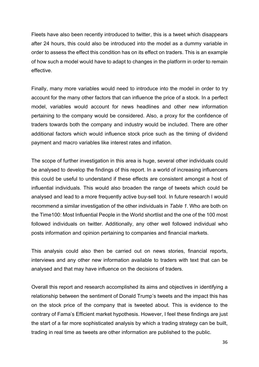Fleets have also been recently introduced to twitter, this is a tweet which disappears after 24 hours, this could also be introduced into the model as a dummy variable in order to assess the effect this condition has on its effect on traders. This is an example of how such a model would have to adapt to changes in the platform in order to remain effective.

Finally, many more variables would need to introduce into the model in order to try account for the many other factors that can influence the price of a stock. In a perfect model, variables would account for news headlines and other new information pertaining to the company would be considered. Also, a proxy for the confidence of traders towards both the company and industry would be included. There are other additional factors which would influence stock price such as the timing of dividend payment and macro variables like interest rates and inflation.

The scope of further investigation in this area is huge, several other individuals could be analysed to develop the findings of this report. In a world of increasing influencers this could be useful to understand if these effects are consistent amongst a host of influential individuals. This would also broaden the range of tweets which could be analysed and lead to a more frequently active buy-sell tool. In future research I would recommend a similar investigation of the other individuals in *Table 1*. Who are both on the Time100: Most Influential People in the World shortlist and the one of the 100 most followed individuals on twitter. Additionally, any other well followed individual who posts information and opinion pertaining to companies and financial markets.

This analysis could also then be carried out on news stories, financial reports, interviews and any other new information available to traders with text that can be analysed and that may have influence on the decisions of traders.

Overall this report and research accomplished its aims and objectives in identifying a relationship between the sentiment of Donald Trump's tweets and the impact this has on the stock price of the company that is tweeted about. This is evidence to the contrary of Fama's Efficient market hypothesis. However, I feel these findings are just the start of a far more sophisticated analysis by which a trading strategy can be built, trading in real time as tweets are other information are published to the public.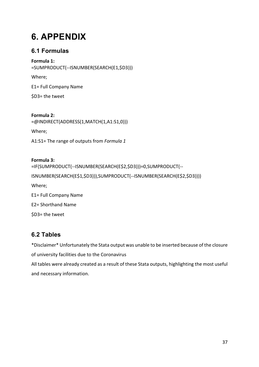## **6. APPENDIX**

#### **6.1 Formulas**

**Formula 1:**  =SUMPRODUCT(--ISNUMBER(SEARCH(E1,\$D3)))

Where;

E1= Full Company Name

\$D3= the tweet

#### **Formula 2:**

=@INDIRECT(ADDRESS(1,MATCH(1,A1:S1,0)))

Where;

A1:S1= The range of outputs from *Formula 1* 

#### **Formula 3:**

```
=IF(SUMPRODUCT(--ISNUMBER(SEARCH(E$2,$D3)))=0,SUMPRODUCT(--
```
ISNUMBER(SEARCH(E\$1,\$D3))),SUMPRODUCT(--ISNUMBER(SEARCH(E\$2,\$D3))))

Where;

E1= Full Company Name

E2= Shorthand Name

\$D3= the tweet

#### **6.2 Tables**

\*Disclaimer\* Unfortunately the Stata output was unable to be inserted because of the closure of university facilities due to the Coronavirus

All tables were already created as a result of these Stata outputs, highlighting the most useful and necessary information.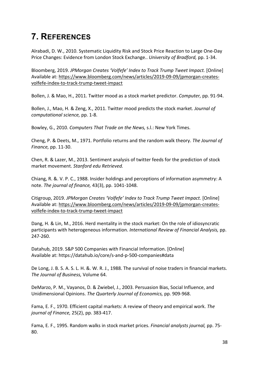## **7. REFERENCES**

Alrabadi, D. W., 2010. Systematic Liquidity Risk and Stock Price Reaction to Large One-Day Price Changes: Evidence from London Stock Exchange.. *University of Bradford,* pp. 1-34.

Bloomberg, 2019. *JPMorgan Creates 'Volfefe' Index to Track Trump Tweet Impact.* [Online] Available at: https://www.bloomberg.com/news/articles/2019-09-09/jpmorgan-createsvolfefe-index-to-track-trump-tweet-impact

Bollen, J. & Mao, H., 2011. Twitter mood as a stock market predictor. *Computer,* pp. 91-94.

Bollen, J., Mao, H. & Zeng, X., 2011. Twitter mood predicts the stock market. *Journal of computational science,* pp. 1-8.

Bowley, G., 2010. *Computers That Trade on the News,* s.l.: New York Times.

Cheng, P. & Deets, M., 1971. Portfolio returns and the random walk theory. *The Journal of Finance,* pp. 11-30.

Chen, R. & Lazer, M., 2013. Sentiment analysis of twitter feeds for the prediction of stock market movement. *Stanford edu Retrieved.* 

Chiang, R. &. V. P. C., 1988. Insider holdings and perceptions of information asymmetry: A note. *The journal of finance,* 43(3), pp. 1041-1048.

Citigroup, 2019. *JPMorgan Creates 'Volfefe' Index to Track Trump Tweet Impact.* [Online] Available at: https://www.bloomberg.com/news/articles/2019-09-09/jpmorgan-createsvolfefe-index-to-track-trump-tweet-impact

Dang, H. & Lin, M., 2016. Herd mentality in the stock market: On the role of idiosyncratic participants with heterogeneous information. *International Review of Financial Analysis,* pp. 247-260.

Datahub, 2019. S&P 500 Companies with Financial Information. [Online] Available at: https://datahub.io/core/s-and-p-500-companies#data

De Long, J. B. S. A. S. L. H. &. W. R. J., 1988. The survival of noise traders in financial markets. *The Journal of Business,* Volume 64.

DeMarzo, P. M., Vayanos, D. & Zwiebel, J., 2003. Persuasion Bias, Social Influence, and Unidimensional Opinions. *The Quarterly Journal of Economics,* pp. 909-968.

Fama, E. F., 1970. Efficient capital markets: A review of theory and empirical work. *The journal of Finance,* 25(2), pp. 383-417.

Fama, E. F., 1995. Random walks in stock market prices. *Financial analysts journal,* pp. 75- 80.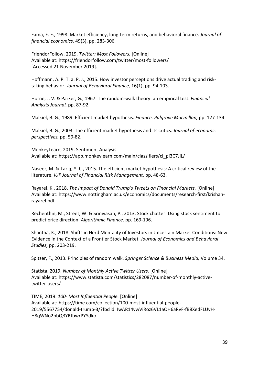Fama, E. F., 1998. Market efficiency, long-term returns, and behavioral finance. *Journal of financial economics,* 49(3), pp. 283-306.

FriendorFollow, 2019. *Twitter: Most Followers.* [Online] Available at: https://friendorfollow.com/twitter/most-followers/ [Accessed 21 November 2019].

Hoffmann, A. P. T. a. P. J., 2015. How investor perceptions drive actual trading and risktaking behavior. *Journal of Behavioral Finance,* 16(1), pp. 94-103.

Horne, J. V. & Parker, G., 1967. The random-walk theory: an empirical test. *Financial Analysts Journal,* pp. 87-92.

Malkiel, B. G., 1989. Efficient market hypothesis. *Finance. Palgrave Macmillan,* pp. 127-134.

Malkiel, B. G., 2003. The efficient market hypothesis and its critics. *Journal of economic perspectives,* pp. 59-82.

MonkeyLearn, 2019. Sentiment Analysis Available at: https://app.monkeylearn.com/main/classifiers/cl\_pi3C7JiL/

Naseer, M. & Tariq, Y. b., 2015. The efficient market hypothesis: A critical review of the literature. *IUP Journal of Financial Risk Management,* pp. 48-63.

Rayarel, K., 2018. *The Impact of Donald Trump's Tweets on Financial Markets.* [Online] Available at: https://www.nottingham.ac.uk/economics/documents/research-first/krishanrayarel.pdf

Rechenthin, M., Street, W. & Srinivasan, P., 2013. Stock chatter: Using stock sentiment to predict price direction. *Algorithmic Finance,* pp. 169-196.

Shantha, K., 2018. Shifts in Herd Mentality of Investors in Uncertain Market Conditions: New Evidence in the Context of a Frontier Stock Market. *Journal of Economics and Behavioral Studies,* pp. 203-219.

Spitzer, F., 2013. Principles of random walk. *Springer Science & Business Media,* Volume 34.

Statista, 2019. *Number of Monthly Active Twitter Users.* [Online] Available at: https://www.statista.com/statistics/282087/number-of-monthly-activetwitter-users/

TIME, 2019. *100- Most Influential People.* [Online] Available at: https://time.com/collection/100-most-influential-people-2019/5567754/donald-trump-3/?fbclid=IwAR14vwViRoz6VL1aOH6aRvF-fB8XedFLUvH-H8qWNo2pbQBYRJbwrPYYdko